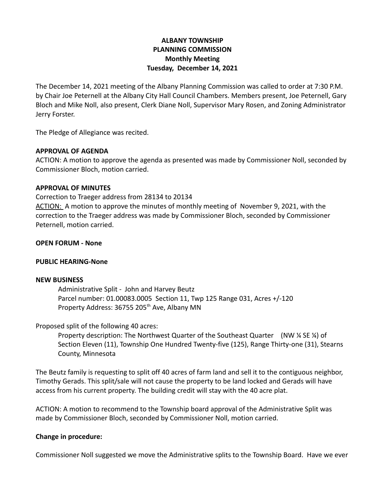# **ALBANY TOWNSHIP PLANNING COMMISSION Monthly Meeting Tuesday, December 14, 2021**

The December 14, 2021 meeting of the Albany Planning Commission was called to order at 7:30 P.M. by Chair Joe Peternell at the Albany City Hall Council Chambers. Members present, Joe Peternell, Gary Bloch and Mike Noll, also present, Clerk Diane Noll, Supervisor Mary Rosen, and Zoning Administrator Jerry Forster.

The Pledge of Allegiance was recited.

## **APPROVAL OF AGENDA**

ACTION: A motion to approve the agenda as presented was made by Commissioner Noll, seconded by Commissioner Bloch, motion carried.

## **APPROVAL OF MINUTES**

Correction to Traeger address from 28134 to 20134 ACTION: A motion to approve the minutes of monthly meeting of November 9, 2021, with the correction to the Traeger address was made by Commissioner Bloch, seconded by Commissioner Peternell, motion carried.

## **OPEN FORUM - None**

## **PUBLIC HEARING-None**

#### **NEW BUSINESS**

Administrative Split - John and Harvey Beutz Parcel number: 01.00083.0005 Section 11, Twp 125 Range 031, Acres +/-120 Property Address: 36755 205<sup>th</sup> Ave, Albany MN

## Proposed split of the following 40 acres:

Property description: The Northwest Quarter of the Southeast Quarter (NW ¼ SE ¼) of Section Eleven (11), Township One Hundred Twenty-five (125), Range Thirty-one (31), Stearns County, Minnesota

The Beutz family is requesting to split off 40 acres of farm land and sell it to the contiguous neighbor, Timothy Gerads. This split/sale will not cause the property to be land locked and Gerads will have access from his current property. The building credit will stay with the 40 acre plat.

ACTION: A motion to recommend to the Township board approval of the Administrative Split was made by Commissioner Bloch, seconded by Commissioner Noll, motion carried.

## **Change in procedure:**

Commissioner Noll suggested we move the Administrative splits to the Township Board. Have we ever